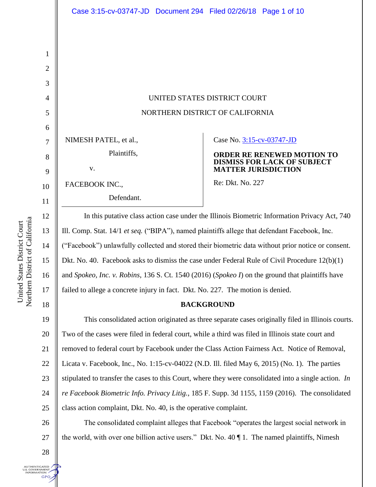| UNITED STATES DISTRICT COURT    |
|---------------------------------|
| NORTHERN DISTRICT OF CALIFORNIA |

NIMESH PATEL, et al.,

v.

# FACEBOOK INC.,

Defendant.

Plaintiffs,

## Case No. [3:15-cv-03747-JD](https://ecf.cand.uscourts.gov/cgi-bin/DktRpt.pl?290385)

## **ORDER RE RENEWED MOTION TO DISMISS FOR LACK OF SUBJECT MATTER JURISDICTION**

Re: Dkt. No. 227

In this putative class action case under the Illinois Biometric Information Privacy Act, 740 Ill. Comp. Stat. 14/1 *et seq.* ("BIPA"), named plaintiffs allege that defendant Facebook, Inc. ("Facebook") unlawfully collected and stored their biometric data without prior notice or consent. Dkt. No. 40. Facebook asks to dismiss the case under Federal Rule of Civil Procedure 12(b)(1) and *Spokeo, Inc. v. Robins*, 136 S. Ct. 1540 (2016) (*Spokeo I*) on the ground that plaintiffs have failed to allege a concrete injury in fact. Dkt. No. 227. The motion is denied.

# **BACKGROUND**

19 20 21 22 23 24 25 This consolidated action originated as three separate cases originally filed in Illinois courts. Two of the cases were filed in federal court, while a third was filed in Illinois state court and removed to federal court by Facebook under the Class Action Fairness Act. Notice of Removal, Licata v. Facebook, Inc., No. 1:15-cv-04022 (N.D. Ill. filed May 6, 2015) (No. 1). The parties stipulated to transfer the cases to this Court, where they were consolidated into a single action. *In re Facebook Biometric Info. Privacy Litig.*, 185 F. Supp. 3d 1155, 1159 (2016). The consolidated class action complaint, Dkt. No. 40, is the operative complaint.

The consolidated complaint alleges that Facebook "operates the largest social network in the world, with over one billion active users." Dkt. No. 40 ¶ 1. The named plaintiffs, Nimesh

1

2

3

4

5

6

7

8

9

10

11

12

13

14

15

16

17

18

28

**UTHENTICATED** .S. GOVERNMENT<br>INFORMATION **GPO** 

26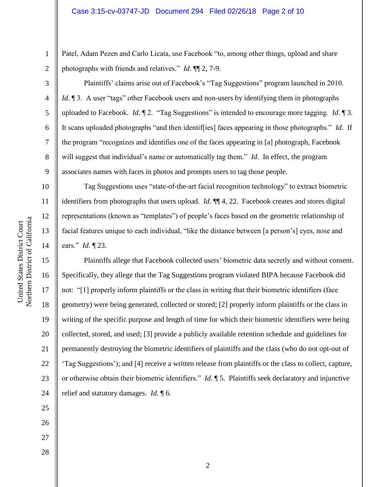Patel, Adam Pezen and Carlo Licata, use Facebook "to, among other things, upload and share photographs with friends and relatives." *Id*. ¶¶ 2, 7-9.

Plaintiffs' claims arise out of Facebook's "Tag Suggestions" program launched in 2010. *Id*. ¶ 3. A user "tags" other Facebook users and non-users by identifying them in photographs uploaded to Facebook. *Id*. ¶ 2. "Tag Suggestions" is intended to encourage more tagging. *Id*. ¶ 3. It scans uploaded photographs "and then identif[ies] faces appearing in those photographs." *Id*. If the program "recognizes and identifies one of the faces appearing in [a] photograph, Facebook will suggest that individual's name or automatically tag them." *Id*. In effect, the program associates names with faces in photos and prompts users to tag those people.

Tag Suggestions uses "state-of-the-art facial recognition technology" to extract biometric identifiers from photographs that users upload. *Id*. ¶¶ 4, 22. Facebook creates and stores digital representations (known as "templates") of people's faces based on the geometric relationship of facial features unique to each individual, "like the distance between [a person's] eyes, nose and ears." *Id*. ¶ 23.

Plaintiffs allege that Facebook collected users' biometric data secretly and without consent. Specifically, they allege that the Tag Suggestions program violated BIPA because Facebook did not: "[1] properly inform plaintiffs or the class in writing that their biometric identifiers (face geometry) were being generated, collected or stored; [2] properly inform plaintiffs or the class in writing of the specific purpose and length of time for which their biometric identifiers were being collected, stored, and used; [3] provide a publicly available retention schedule and guidelines for permanently destroying the biometric identifiers of plaintiffs and the class (who do not opt-out of 'Tag Suggestions'); and [4] receive a written release from plaintiffs or the class to collect, capture, or otherwise obtain their biometric identifiers." *Id*. ¶ 5. Plaintiffs seek declaratory and injunctive relief and statutory damages. *Id*. ¶ 6.

Northern District of California Northern District of California United States District Court United States District Court

1

2

3

4

5

6

7

8

9

10

11

12

13

14

15

16

17

18

19

20

21

22

23

24

25

26

27

28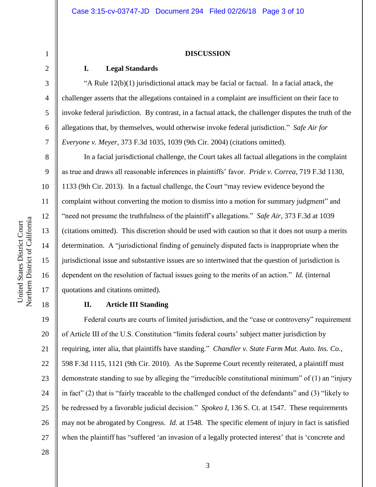#### **DISCUSSION**

# **I. Legal Standards**

"A Rule  $12(b)(1)$  jurisdictional attack may be facial or factual. In a facial attack, the challenger asserts that the allegations contained in a complaint are insufficient on their face to invoke federal jurisdiction. By contrast, in a factual attack, the challenger disputes the truth of the allegations that, by themselves, would otherwise invoke federal jurisdiction." *Safe Air for Everyone v. Meyer*, 373 F.3d 1035, 1039 (9th Cir. 2004) (citations omitted).

In a facial jurisdictional challenge, the Court takes all factual allegations in the complaint as true and draws all reasonable inferences in plaintiffs' favor. *Pride v. Correa*, 719 F.3d 1130, 1133 (9th Cir. 2013). In a factual challenge, the Court "may review evidence beyond the complaint without converting the motion to dismiss into a motion for summary judgment" and "need not presume the truthfulness of the plaintiff's allegations." *Safe Air*, 373 F.3d at 1039 (citations omitted). This discretion should be used with caution so that it does not usurp a merits determination. A "jurisdictional finding of genuinely disputed facts is inappropriate when the jurisdictional issue and substantive issues are so intertwined that the question of jurisdiction is dependent on the resolution of factual issues going to the merits of an action." *Id.* (internal quotations and citations omitted).

# **II. Article III Standing**

19 20 21 22 23 24 25 26 27 Federal courts are courts of limited jurisdiction, and the "case or controversy" requirement of Article III of the U.S. Constitution "limits federal courts' subject matter jurisdiction by requiring, inter alia, that plaintiffs have standing." *Chandler v. State Farm Mut. Auto. Ins. Co.*, 598 F.3d 1115, 1121 (9th Cir. 2010). As the Supreme Court recently reiterated, a plaintiff must demonstrate standing to sue by alleging the "irreducible constitutional minimum" of (1) an "injury in fact" (2) that is "fairly traceable to the challenged conduct of the defendants" and (3) "likely to be redressed by a favorable judicial decision." *Spokeo I*, 136 S. Ct. at 1547. These requirements may not be abrogated by Congress. *Id.* at 1548. The specific element of injury in fact is satisfied when the plaintiff has "suffered 'an invasion of a legally protected interest' that is 'concrete and

Northern District of California Northern District of California United States District Court United States District Court

1

2

3

4

5

6

7

8

9

10

11

12

13

14

15

16

17

18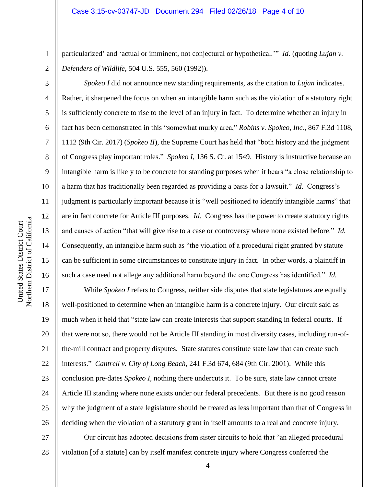particularized' and 'actual or imminent, not conjectural or hypothetical.'" *Id.* (quoting *Lujan v. Defenders of Wildlife*, 504 U.S. 555, 560 (1992)).

*Spokeo I* did not announce new standing requirements, as the citation to *Lujan* indicates. Rather, it sharpened the focus on when an intangible harm such as the violation of a statutory right is sufficiently concrete to rise to the level of an injury in fact. To determine whether an injury in fact has been demonstrated in this "somewhat murky area," *Robins v. Spokeo, Inc.*, 867 F.3d 1108, 1112 (9th Cir. 2017) (*Spokeo II*), the Supreme Court has held that "both history and the judgment of Congress play important roles." *Spokeo I*, 136 S. Ct. at 1549. History is instructive because an intangible harm is likely to be concrete for standing purposes when it bears "a close relationship to a harm that has traditionally been regarded as providing a basis for a lawsuit." *Id.* Congress's judgment is particularly important because it is "well positioned to identify intangible harms" that are in fact concrete for Article III purposes. *Id.* Congress has the power to create statutory rights and causes of action "that will give rise to a case or controversy where none existed before." *Id.*  Consequently, an intangible harm such as "the violation of a procedural right granted by statute can be sufficient in some circumstances to constitute injury in fact. In other words, a plaintiff in such a case need not allege any additional harm beyond the one Congress has identified." *Id.* 

17 18 19 20 21 22 23 24 25 26 While *Spokeo I* refers to Congress, neither side disputes that state legislatures are equally well-positioned to determine when an intangible harm is a concrete injury. Our circuit said as much when it held that "state law can create interests that support standing in federal courts. If that were not so, there would not be Article III standing in most diversity cases, including run-ofthe-mill contract and property disputes. State statutes constitute state law that can create such interests." *Cantrell v. City of Long Beach*, 241 F.3d 674, 684 (9th Cir. 2001). While this conclusion pre-dates *Spokeo I*, nothing there undercuts it. To be sure, state law cannot create Article III standing where none exists under our federal precedents. But there is no good reason why the judgment of a state legislature should be treated as less important than that of Congress in deciding when the violation of a statutory grant in itself amounts to a real and concrete injury.

27 28 Our circuit has adopted decisions from sister circuits to hold that "an alleged procedural violation [of a statute] can by itself manifest concrete injury where Congress conferred the

1

2

3

4

5

6

7

8

9

10

11

12

13

14

15

16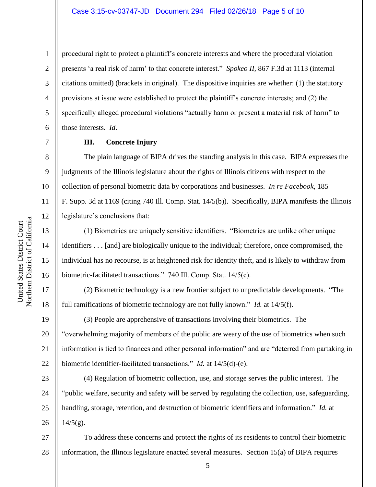procedural right to protect a plaintiff's concrete interests and where the procedural violation presents 'a real risk of harm' to that concrete interest." *Spokeo II*, 867 F.3d at 1113 (internal citations omitted) (brackets in original). The dispositive inquiries are whether: (1) the statutory provisions at issue were established to protect the plaintiff's concrete interests; and (2) the specifically alleged procedural violations "actually harm or present a material risk of harm" to those interests. *Id*.

## **III. Concrete Injury**

The plain language of BIPA drives the standing analysis in this case. BIPA expresses the judgments of the Illinois legislature about the rights of Illinois citizens with respect to the collection of personal biometric data by corporations and businesses. *In re Facebook*, 185 F. Supp. 3d at 1169 (citing 740 Ill. Comp. Stat. 14/5(b)). Specifically, BIPA manifests the Illinois legislature's conclusions that:

(1) Biometrics are uniquely sensitive identifiers. "Biometrics are unlike other unique identifiers . . . [and] are biologically unique to the individual; therefore, once compromised, the individual has no recourse, is at heightened risk for identity theft, and is likely to withdraw from biometric-facilitated transactions." 740 Ill. Comp. Stat. 14/5(c).

(2) Biometric technology is a new frontier subject to unpredictable developments. "The full ramifications of biometric technology are not fully known." *Id.* at 14/5(f).

(3) People are apprehensive of transactions involving their biometrics. The "overwhelming majority of members of the public are weary of the use of biometrics when such information is tied to finances and other personal information" and are "deterred from partaking in biometric identifier-facilitated transactions." *Id.* at 14/5(d)-(e).

23 24 25 26 (4) Regulation of biometric collection, use, and storage serves the public interest. The "public welfare, security and safety will be served by regulating the collection, use, safeguarding, handling, storage, retention, and destruction of biometric identifiers and information." *Id.* at  $14/5(g)$ .

27 28 To address these concerns and protect the rights of its residents to control their biometric information, the Illinois legislature enacted several measures. Section 15(a) of BIPA requires

1

2

3

4

5

6

7

8

9

10

11

12

13

14

15

16

17

18

19

20

21

22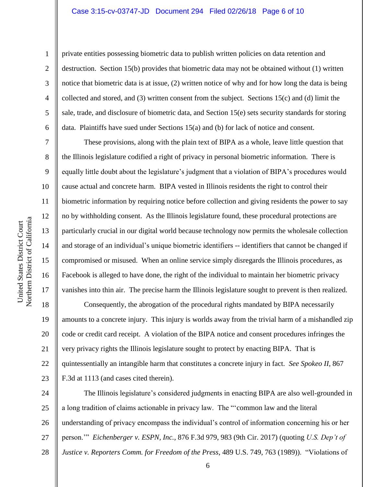## Case 3:15-cv-03747-JD Document 294 Filed 02/26/18 Page 6 of 10

1

2

3

5

7

8

9

17

United States District Court

Northern District of California United States District Court

4 6 private entities possessing biometric data to publish written policies on data retention and destruction. Section 15(b) provides that biometric data may not be obtained without (1) written notice that biometric data is at issue, (2) written notice of why and for how long the data is being collected and stored, and (3) written consent from the subject. Sections 15(c) and (d) limit the sale, trade, and disclosure of biometric data, and Section 15(e) sets security standards for storing data. Plaintiffs have sued under Sections 15(a) and (b) for lack of notice and consent.

These provisions, along with the plain text of BIPA as a whole, leave little question that the Illinois legislature codified a right of privacy in personal biometric information. There is equally little doubt about the legislature's judgment that a violation of BIPA's procedures would cause actual and concrete harm. BIPA vested in Illinois residents the right to control their biometric information by requiring notice before collection and giving residents the power to say no by withholding consent. As the Illinois legislature found, these procedural protections are particularly crucial in our digital world because technology now permits the wholesale collection and storage of an individual's unique biometric identifiers -- identifiers that cannot be changed if compromised or misused. When an online service simply disregards the Illinois procedures, as Facebook is alleged to have done, the right of the individual to maintain her biometric privacy vanishes into thin air. The precise harm the Illinois legislature sought to prevent is then realized.

18 19 20 21 22 23 Consequently, the abrogation of the procedural rights mandated by BIPA necessarily amounts to a concrete injury. This injury is worlds away from the trivial harm of a mishandled zip code or credit card receipt. A violation of the BIPA notice and consent procedures infringes the very privacy rights the Illinois legislature sought to protect by enacting BIPA. That is quintessentially an intangible harm that constitutes a concrete injury in fact. *See Spokeo II*, 867 F.3d at 1113 (and cases cited therein).

24 25 26 27 28 The Illinois legislature's considered judgments in enacting BIPA are also well-grounded in a long tradition of claims actionable in privacy law. The "'common law and the literal understanding of privacy encompass the individual's control of information concerning his or her person.'" *Eichenberger v. ESPN, Inc.*, 876 F.3d 979, 983 (9th Cir. 2017) (quoting *U.S. Dep't of Justice v. Reporters Comm. for Freedom of the Press*, 489 U.S. 749, 763 (1989)). "Violations of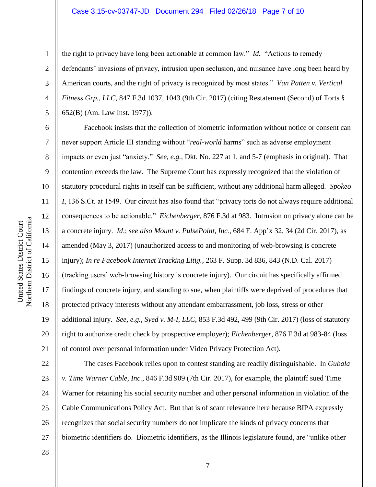### Case 3:15-cv-03747-JD Document 294 Filed 02/26/18 Page 7 of 10

the right to privacy have long been actionable at common law." *Id.* "Actions to remedy defendants' invasions of privacy, intrusion upon seclusion, and nuisance have long been heard by American courts, and the right of privacy is recognized by most states." *Van Patten v. Vertical Fitness Grp., LLC*, 847 F.3d 1037, 1043 (9th Cir. 2017) (citing Restatement (Second) of Torts § 652(B) (Am. Law Inst. 1977)).

Facebook insists that the collection of biometric information without notice or consent can never support Article III standing without "*real-world* harms" such as adverse employment impacts or even just "anxiety." *See, e.g.*, Dkt. No. 227 at 1, and 5-7 (emphasis in original). That contention exceeds the law. The Supreme Court has expressly recognized that the violation of statutory procedural rights in itself can be sufficient, without any additional harm alleged. *Spokeo I*, 136 S.Ct. at 1549. Our circuit has also found that "privacy torts do not always require additional consequences to be actionable." *Eichenberger*, 876 F.3d at 983. Intrusion on privacy alone can be a concrete injury. *Id*.; *see also Mount v. PulsePoint, Inc.*, 684 F. App'x 32, 34 (2d Cir. 2017), as amended (May 3, 2017) (unauthorized access to and monitoring of web-browsing is concrete injury); *In re Facebook Internet Tracking Litig.*, 263 F. Supp. 3d 836, 843 (N.D. Cal. 2017) (tracking users' web-browsing history is concrete injury). Our circuit has specifically affirmed findings of concrete injury, and standing to sue, when plaintiffs were deprived of procedures that protected privacy interests without any attendant embarrassment, job loss, stress or other additional injury. *See, e.g., Syed v. M-I, LLC*, 853 F.3d 492, 499 (9th Cir. 2017) (loss of statutory right to authorize credit check by prospective employer); *Eichenberger*, 876 F.3d at 983-84 (loss of control over personal information under Video Privacy Protection Act).

22 23 24 25 26 27 The cases Facebook relies upon to contest standing are readily distinguishable. In *Gubala v. Time Warner Cable, Inc.*, 846 F.3d 909 (7th Cir. 2017), for example, the plaintiff sued Time Warner for retaining his social security number and other personal information in violation of the Cable Communications Policy Act. But that is of scant relevance here because BIPA expressly recognizes that social security numbers do not implicate the kinds of privacy concerns that biometric identifiers do. Biometric identifiers, as the Illinois legislature found, are "unlike other

28

1

2

3

4

5

6

7

8

9

10

11

12

13

14

15

16

17

18

19

20

21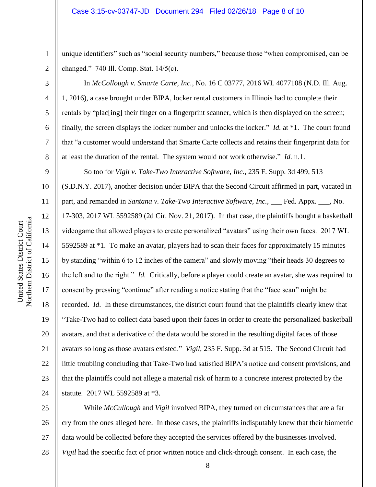unique identifiers" such as "social security numbers," because those "when compromised, can be changed." 740 Ill. Comp. Stat. 14/5(c).

In *McCollough v. Smarte Carte, Inc.*, No. 16 C 03777, 2016 WL 4077108 (N.D. Ill. Aug. 1, 2016), a case brought under BIPA, locker rental customers in Illinois had to complete their rentals by "plac[ing] their finger on a fingerprint scanner, which is then displayed on the screen; finally, the screen displays the locker number and unlocks the locker." *Id.* at \*1. The court found that "a customer would understand that Smarte Carte collects and retains their fingerprint data for at least the duration of the rental. The system would not work otherwise." *Id.* n.1.

So too for *Vigil v. Take-Two Interactive Software, Inc.*, 235 F. Supp. 3d 499, 513 (S.D.N.Y. 2017), another decision under BIPA that the Second Circuit affirmed in part, vacated in part, and remanded in *Santana v. Take-Two Interactive Software, Inc.*, \_\_\_ Fed. Appx. \_\_\_, No. 17-303, 2017 WL 5592589 (2d Cir. Nov. 21, 2017). In that case, the plaintiffs bought a basketball videogame that allowed players to create personalized "avatars" using their own faces. 2017 WL 5592589 at \*1. To make an avatar, players had to scan their faces for approximately 15 minutes by standing "within 6 to 12 inches of the camera" and slowly moving "their heads 30 degrees to the left and to the right." *Id.* Critically, before a player could create an avatar, she was required to consent by pressing "continue" after reading a notice stating that the "face scan" might be recorded. *Id*. In these circumstances, the district court found that the plaintiffs clearly knew that "Take-Two had to collect data based upon their faces in order to create the personalized basketball avatars, and that a derivative of the data would be stored in the resulting digital faces of those avatars so long as those avatars existed." *Vigil*, 235 F. Supp. 3d at 515. The Second Circuit had little troubling concluding that Take-Two had satisfied BIPA's notice and consent provisions, and that the plaintiffs could not allege a material risk of harm to a concrete interest protected by the statute. 2017 WL 5592589 at \*3.

25 26 27 28 While *McCullough* and *Vigil* involved BIPA, they turned on circumstances that are a far cry from the ones alleged here. In those cases, the plaintiffs indisputably knew that their biometric data would be collected before they accepted the services offered by the businesses involved. *Vigil* had the specific fact of prior written notice and click-through consent. In each case, the

1

2

3

4

5

6

7

8

9

10

11

12

13

14

15

16

17

18

19

20

21

22

23

24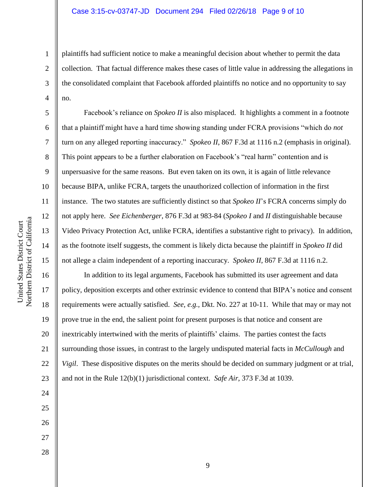plaintiffs had sufficient notice to make a meaningful decision about whether to permit the data collection. That factual difference makes these cases of little value in addressing the allegations in the consolidated complaint that Facebook afforded plaintiffs no notice and no opportunity to say no.

Facebook's reliance on *Spokeo II* is also misplaced. It highlights a comment in a footnote that a plaintiff might have a hard time showing standing under FCRA provisions "which do *not* turn on any alleged reporting inaccuracy." *Spokeo II*, 867 F.3d at 1116 n.2 (emphasis in original). This point appears to be a further elaboration on Facebook's "real harm" contention and is unpersuasive for the same reasons. But even taken on its own, it is again of little relevance because BIPA, unlike FCRA, targets the unauthorized collection of information in the first instance. The two statutes are sufficiently distinct so that *Spokeo II*'s FCRA concerns simply do not apply here. *See Eichenberger*, 876 F.3d at 983-84 (*Spokeo I* and *II* distinguishable because Video Privacy Protection Act, unlike FCRA, identifies a substantive right to privacy). In addition, as the footnote itself suggests, the comment is likely dicta because the plaintiff in *Spokeo II* did not allege a claim independent of a reporting inaccuracy. *Spokeo II*, 867 F.3d at 1116 n.2.

In addition to its legal arguments, Facebook has submitted its user agreement and data policy, deposition excerpts and other extrinsic evidence to contend that BIPA's notice and consent requirements were actually satisfied. *See, e.g.,* Dkt. No. 227 at 10-11. While that may or may not prove true in the end, the salient point for present purposes is that notice and consent are inextricably intertwined with the merits of plaintiffs' claims. The parties contest the facts surrounding those issues, in contrast to the largely undisputed material facts in *McCullough* and *Vigil*. These dispositive disputes on the merits should be decided on summary judgment or at trial, and not in the Rule 12(b)(1) jurisdictional context. *Safe Air*, 373 F.3d at 1039.

10 11 12 Northern District of California Northern District of California 13 14 15 16 17 18 19

United States District Court

United States District Court

20

21

22

23

24

25

26

27

28

1

2

3

4

5

6

7

8